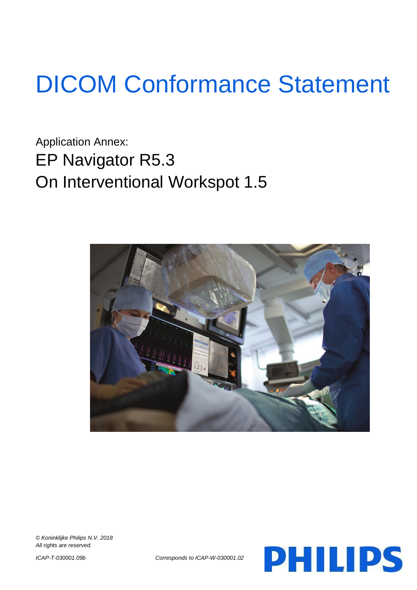# DICOM Conformance Statement

Application Annex: EP Navigator R5.3 On Interventional Workspot 1.5



*© Koninklijke Philips N.V. 2018 All rights are reserved.*



*ICAP-T-030001.09b Corresponds to ICAP-W-030001.02*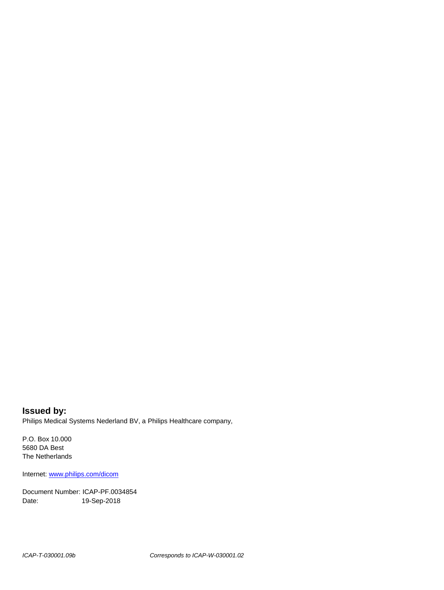**Issued by:** Philips Medical Systems Nederland BV, a Philips Healthcare company,

P.O. Box 10.000 5680 DA Best The Netherlands

Internet[: www.philips.com/dicom](http://www.philips.com/dicom)

Document Number: ICAP-PF.0034854 Date: 19-Sep-2018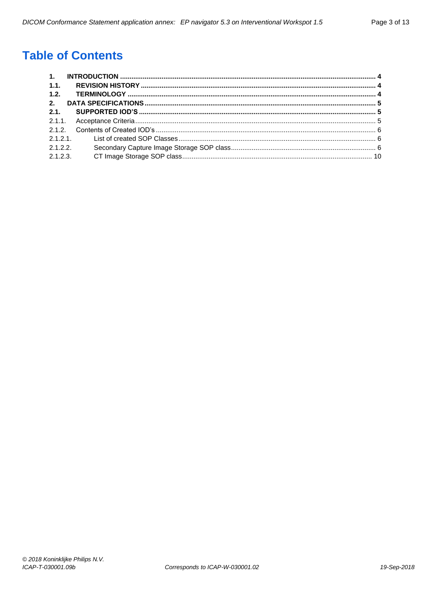## **Table of Contents**

| 1.1.     |  |
|----------|--|
| 1.2.     |  |
| 2.       |  |
| 2.1      |  |
|          |  |
|          |  |
|          |  |
| 2.1.2.2  |  |
| 2.1.2.3. |  |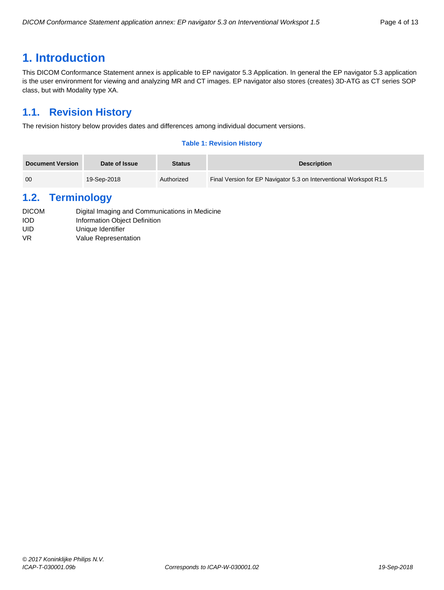## <span id="page-3-0"></span>**1. Introduction**

This DICOM Conformance Statement annex is applicable to EP navigator 5.3 Application. In general the EP navigator 5.3 application is the user environment for viewing and analyzing MR and CT images. EP navigator also stores (creates) 3D-ATG as CT series SOP class, but with Modality type XA.

## <span id="page-3-1"></span>**1.1. Revision History**

The revision history below provides dates and differences among individual document versions.

#### **Table 1: Revision History**

| <b>Document Version</b> | Date of Issue | <b>Status</b> | <b>Description</b>                                                 |
|-------------------------|---------------|---------------|--------------------------------------------------------------------|
| 00                      | 19-Sep-2018   | Authorized    | Final Version for EP Navigator 5.3 on Interventional Workspot R1.5 |

## <span id="page-3-2"></span>**1.2. Terminology**

| <b>DICOM</b> | Digital Imaging and Communications in Medicine |
|--------------|------------------------------------------------|
| <b>IOD</b>   | Information Object Definition                  |
| UID          | Unique Identifier                              |
| VR           | Value Representation                           |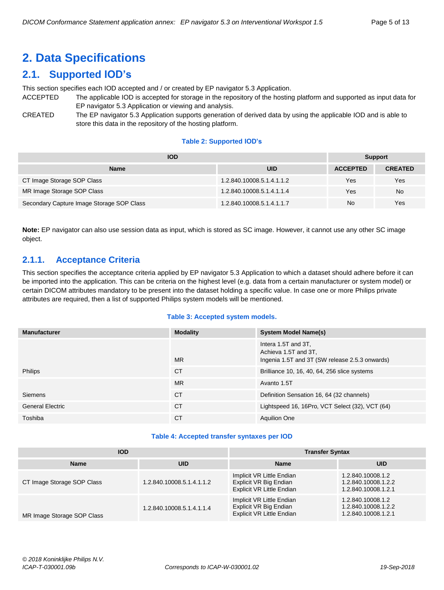## <span id="page-4-0"></span>**2. Data Specifications**

## <span id="page-4-1"></span>**2.1. Supported IOD's**

This section specifies each IOD accepted and / or created by EP navigator 5.3 Application.

- ACCEPTED The applicable IOD is accepted for storage in the repository of the hosting platform and supported as input data for EP navigator 5.3 Application or viewing and analysis.
- CREATED The EP navigator 5.3 Application supports generation of derived data by using the applicable IOD and is able to store this data in the repository of the hosting platform.

#### **Table 2: Supported IOD's**

| <b>IOD</b>                                | <b>Support</b>            |                 |                |
|-------------------------------------------|---------------------------|-----------------|----------------|
| <b>Name</b>                               | <b>UID</b>                | <b>ACCEPTED</b> | <b>CREATED</b> |
| CT Image Storage SOP Class                | 1.2.840.10008.5.1.4.1.1.2 | Yes             | Yes            |
| MR Image Storage SOP Class                | 1.2.840.10008.5.1.4.1.1.4 | Yes             | <b>No</b>      |
| Secondary Capture Image Storage SOP Class | 1.2.840.10008.5.1.4.1.1.7 | No              | Yes            |

**Note:** EP navigator can also use session data as input, which is stored as SC image. However, it cannot use any other SC image object.

#### <span id="page-4-2"></span>**2.1.1. Acceptance Criteria**

This section specifies the acceptance criteria applied by EP navigator 5.3 Application to which a dataset should adhere before it can be imported into the application. This can be criteria on the highest level (e.g. data from a certain manufacturer or system model) or certain DICOM attributes mandatory to be present into the dataset holding a specific value. In case one or more Philips private attributes are required, then a list of supported Philips system models will be mentioned.

#### **Table 3: Accepted system models.**

| <b>Manufacturer</b>     | <b>Modality</b> | <b>System Model Name(s)</b>                                                                   |
|-------------------------|-----------------|-----------------------------------------------------------------------------------------------|
|                         | <b>MR</b>       | Intera 1.5T and 3T,<br>Achieva 1.5T and 3T.<br>Ingenia 1.5T and 3T (SW release 2.5.3 onwards) |
| <b>Philips</b>          | <b>CT</b>       | Brilliance 10, 16, 40, 64, 256 slice systems                                                  |
|                         | <b>MR</b>       | Avanto 1.5T                                                                                   |
| <b>Siemens</b>          | <b>CT</b>       | Definition Sensation 16, 64 (32 channels)                                                     |
| <b>General Electric</b> | <b>CT</b>       | Lightspeed 16, 16Pro, VCT Select (32), VCT (64)                                               |
| Toshiba                 | СT              | <b>Aquilion One</b>                                                                           |

#### **Table 4: Accepted transfer syntaxes per IOD**

| <b>IOD</b>                 |                           | <b>Transfer Syntax</b>                                                                  |                                                                 |  |
|----------------------------|---------------------------|-----------------------------------------------------------------------------------------|-----------------------------------------------------------------|--|
| <b>Name</b>                | UID                       | <b>Name</b>                                                                             | <b>UID</b>                                                      |  |
| CT Image Storage SOP Class | 1.2.840.10008.5.1.4.1.1.2 | Implicit VR Little Endian<br>Explicit VR Big Endian<br><b>Explicit VR Little Endian</b> | 1.2.840.10008.1.2<br>1.2.840.10008.1.2.2<br>1.2.840.10008.1.2.1 |  |
| MR Image Storage SOP Class | 1.2.840.10008.5.1.4.1.1.4 | Implicit VR Little Endian<br>Explicit VR Big Endian<br><b>Explicit VR Little Endian</b> | 1.2.840.10008.1.2<br>1.2.840.10008.1.2.2<br>1.2.840.10008.1.2.1 |  |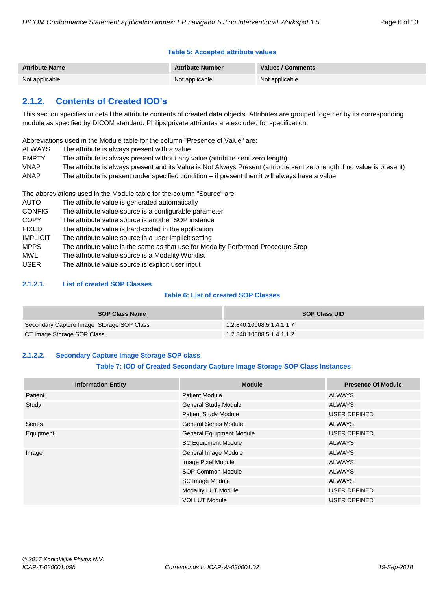#### **Table 5: Accepted attribute values**

| <b>Attribute Name</b> | <b>Attribute Number</b> | Values / Comments |
|-----------------------|-------------------------|-------------------|
| Not applicable        | Not applicable          | Not applicable    |

### <span id="page-5-0"></span>**2.1.2. Contents of Created IOD's**

This section specifies in detail the attribute contents of created data objects. Attributes are grouped together by its corresponding module as specified by DICOM standard. Philips private attributes are excluded for specification.

Abbreviations used in the Module table for the column "Presence of Value" are:

- ALWAYS The attribute is always present with a value
- EMPTY The attribute is always present without any value (attribute sent zero length)
- VNAP The attribute is always present and its Value is Not Always Present (attribute sent zero length if no value is present)
- ANAP The attribute is present under specified condition if present then it will always have a value

The abbreviations used in the Module table for the column "Source" are:

AUTO The attribute value is generated automatically CONFIG The attribute value source is a configurable parameter COPY The attribute value source is another SOP instance FIXED The attribute value is hard-coded in the application IMPLICIT The attribute value source is a user-implicit setting MPPS The attribute value is the same as that use for Modality Performed Procedure Step MWL The attribute value source is a Modality Worklist USER The attribute value source is explicit user input

#### <span id="page-5-1"></span>**2.1.2.1. List of created SOP Classes**

#### **Table 6: List of created SOP Classes**

| <b>SOP Class Name</b>                     | <b>SOP Class UID</b>      |
|-------------------------------------------|---------------------------|
| Secondary Capture Image Storage SOP Class | 1.2.840.10008.5.1.4.1.1.7 |
| CT Image Storage SOP Class                | 1.2.840.10008.5.1.4.1.1.2 |

#### <span id="page-5-2"></span>**2.1.2.2. Secondary Capture Image Storage SOP class**

#### **Table 7: IOD of Created Secondary Capture Image Storage SOP Class Instances**

| <b>Information Entity</b> | <b>Module</b>                   | <b>Presence Of Module</b> |  |
|---------------------------|---------------------------------|---------------------------|--|
| Patient                   | <b>Patient Module</b>           | ALWAYS                    |  |
| Study                     | <b>General Study Module</b>     | <b>ALWAYS</b>             |  |
|                           | <b>Patient Study Module</b>     | USER DEFINED              |  |
| <b>Series</b>             | <b>General Series Module</b>    | ALWAYS                    |  |
| Equipment                 | <b>General Equipment Module</b> | <b>USER DEFINED</b>       |  |
|                           | <b>SC Equipment Module</b>      | <b>ALWAYS</b>             |  |
| Image                     | General Image Module            | <b>ALWAYS</b>             |  |
|                           | Image Pixel Module              | <b>ALWAYS</b>             |  |
|                           | SOP Common Module               | ALWAYS                    |  |
|                           | <b>SC Image Module</b>          | <b>ALWAYS</b>             |  |
|                           | <b>Modality LUT Module</b>      | USER DEFINED              |  |
|                           | <b>VOI LUT Module</b>           | USER DEFINED              |  |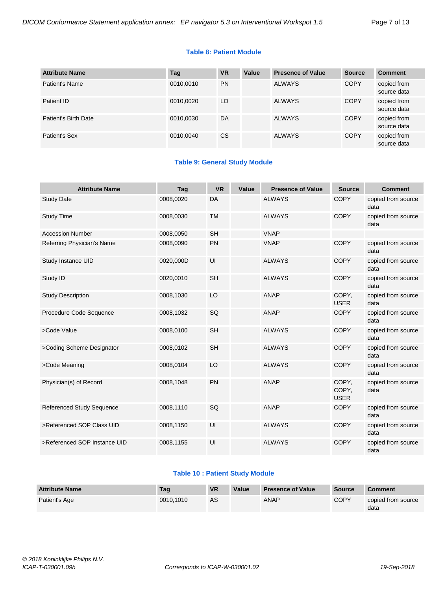#### **Table 8: Patient Module**

| <b>Attribute Name</b> | Tag       | <b>VR</b> | Value | <b>Presence of Value</b> | <b>Source</b> | <b>Comment</b>             |
|-----------------------|-----------|-----------|-------|--------------------------|---------------|----------------------------|
| Patient's Name        | 0010,0010 | <b>PN</b> |       | <b>ALWAYS</b>            | <b>COPY</b>   | copied from<br>source data |
| Patient ID            | 0010,0020 | LO        |       | <b>ALWAYS</b>            | <b>COPY</b>   | copied from<br>source data |
| Patient's Birth Date  | 0010,0030 | DA        |       | <b>ALWAYS</b>            | <b>COPY</b>   | copied from<br>source data |
| Patient's Sex         | 0010,0040 | CS.       |       | <b>ALWAYS</b>            | <b>COPY</b>   | copied from<br>source data |

#### **Table 9: General Study Module**

| <b>Attribute Name</b>            | Tag       | <b>VR</b> | Value | <b>Presence of Value</b> | <b>Source</b>                 | <b>Comment</b>             |
|----------------------------------|-----------|-----------|-------|--------------------------|-------------------------------|----------------------------|
| <b>Study Date</b>                | 0008,0020 | DA        |       | <b>ALWAYS</b>            | <b>COPY</b>                   | copied from source<br>data |
| <b>Study Time</b>                | 0008,0030 | <b>TM</b> |       | <b>ALWAYS</b>            | <b>COPY</b>                   | copied from source<br>data |
| <b>Accession Number</b>          | 0008,0050 | <b>SH</b> |       | <b>VNAP</b>              |                               |                            |
| Referring Physician's Name       | 0008,0090 | PN        |       | <b>VNAP</b>              | <b>COPY</b>                   | copied from source<br>data |
| Study Instance UID               | 0020,000D | UI        |       | <b>ALWAYS</b>            | <b>COPY</b>                   | copied from source<br>data |
| Study ID                         | 0020,0010 | <b>SH</b> |       | <b>ALWAYS</b>            | <b>COPY</b>                   | copied from source<br>data |
| <b>Study Description</b>         | 0008,1030 | LO        |       | <b>ANAP</b>              | COPY.<br><b>USER</b>          | copied from source<br>data |
| Procedure Code Sequence          | 0008,1032 | SQ        |       | <b>ANAP</b>              | <b>COPY</b>                   | copied from source<br>data |
| >Code Value                      | 0008,0100 | <b>SH</b> |       | <b>ALWAYS</b>            | <b>COPY</b>                   | copied from source<br>data |
| >Coding Scheme Designator        | 0008,0102 | <b>SH</b> |       | <b>ALWAYS</b>            | <b>COPY</b>                   | copied from source<br>data |
| >Code Meaning                    | 0008,0104 | LO        |       | <b>ALWAYS</b>            | <b>COPY</b>                   | copied from source<br>data |
| Physician(s) of Record           | 0008,1048 | PN        |       | <b>ANAP</b>              | COPY.<br>COPY.<br><b>USER</b> | copied from source<br>data |
| <b>Referenced Study Sequence</b> | 0008,1110 | SQ        |       | <b>ANAP</b>              | <b>COPY</b>                   | copied from source<br>data |
| >Referenced SOP Class UID        | 0008,1150 | UI        |       | <b>ALWAYS</b>            | <b>COPY</b>                   | copied from source<br>data |
| >Referenced SOP Instance UID     | 0008,1155 | UI        |       | <b>ALWAYS</b>            | <b>COPY</b>                   | copied from source<br>data |

#### **Table 10 : Patient Study Module**

| <b>Attribute Name</b> | Taq       | <b>VR</b> | Value | <b>Presence of Value</b> | <b>Source</b> | <b>Comment</b>             |
|-----------------------|-----------|-----------|-------|--------------------------|---------------|----------------------------|
| Patient's Age         | 0010.1010 | AS        |       | ANAP                     | <b>COPY</b>   | copied from source<br>data |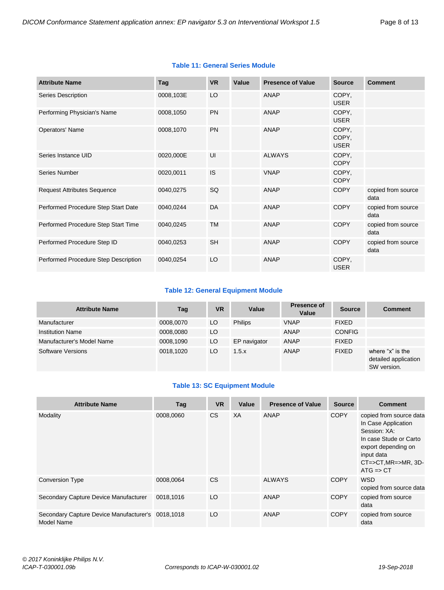#### **Table 11: General Series Module**

| <b>Attribute Name</b>                | Tag       | <b>VR</b> | Value | <b>Presence of Value</b> | <b>Source</b>                 | <b>Comment</b>             |
|--------------------------------------|-----------|-----------|-------|--------------------------|-------------------------------|----------------------------|
| Series Description                   | 0008,103E | LO        |       | ANAP                     | COPY,<br><b>USER</b>          |                            |
| Performing Physician's Name          | 0008,1050 | <b>PN</b> |       | ANAP                     | COPY.<br><b>USER</b>          |                            |
| Operators' Name                      | 0008,1070 | <b>PN</b> |       | ANAP                     | COPY,<br>COPY,<br><b>USER</b> |                            |
| Series Instance UID                  | 0020,000E | UI        |       | <b>ALWAYS</b>            | COPY,<br><b>COPY</b>          |                            |
| Series Number                        | 0020,0011 | <b>IS</b> |       | <b>VNAP</b>              | COPY,<br><b>COPY</b>          |                            |
| <b>Request Attributes Sequence</b>   | 0040,0275 | <b>SQ</b> |       | ANAP                     | <b>COPY</b>                   | copied from source<br>data |
| Performed Procedure Step Start Date  | 0040,0244 | DA        |       | ANAP                     | <b>COPY</b>                   | copied from source<br>data |
| Performed Procedure Step Start Time  | 0040,0245 | <b>TM</b> |       | ANAP                     | <b>COPY</b>                   | copied from source<br>data |
| Performed Procedure Step ID          | 0040,0253 | <b>SH</b> |       | ANAP                     | <b>COPY</b>                   | copied from source<br>data |
| Performed Procedure Step Description | 0040,0254 | LO        |       | ANAP                     | COPY,<br><b>USER</b>          |                            |

#### **Table 12: General Equipment Module**

| <b>Attribute Name</b>     | Tag       | VR  | Value          | <b>Presence of</b><br>Value | <b>Source</b> | <b>Comment</b>                                          |
|---------------------------|-----------|-----|----------------|-----------------------------|---------------|---------------------------------------------------------|
| Manufacturer              | 0008,0070 | LO. | <b>Philips</b> | <b>VNAP</b>                 | <b>FIXED</b>  |                                                         |
| <b>Institution Name</b>   | 0008,0080 | LO  |                | ANAP                        | <b>CONFIG</b> |                                                         |
| Manufacturer's Model Name | 0008,1090 | LO. | EP navigator   | ANAP                        | <b>FIXED</b>  |                                                         |
| Software Versions         | 0018,1020 | LO  | 1.5.x          | ANAP                        | <b>FIXED</b>  | where "x" is the<br>detailed application<br>SW version. |

#### **Table 13: SC Equipment Module**

| <b>Attribute Name</b>                                                  | Tag       | <b>VR</b> | Value | <b>Presence of Value</b> | <b>Source</b> | <b>Comment</b>                                                                                                                                                                        |
|------------------------------------------------------------------------|-----------|-----------|-------|--------------------------|---------------|---------------------------------------------------------------------------------------------------------------------------------------------------------------------------------------|
| Modality                                                               | 0008.0060 | CS.       | XA    | ANAP                     | <b>COPY</b>   | copied from source data<br>In Case Application<br>Session: XA:<br>In case Stude or Carto<br>export depending on<br>input data<br>$CT = > CT, MR = > MR, 3D -$<br>$ATG \Rightarrow CT$ |
| <b>Conversion Type</b>                                                 | 0008.0064 | CS.       |       | <b>ALWAYS</b>            | <b>COPY</b>   | <b>WSD</b><br>copied from source data                                                                                                                                                 |
| Secondary Capture Device Manufacturer                                  | 0018,1016 | LO        |       | <b>ANAP</b>              | <b>COPY</b>   | copied from source<br>data                                                                                                                                                            |
| Secondary Capture Device Manufacturer's 0018,1018<br><b>Model Name</b> |           | LO        |       | <b>ANAP</b>              | <b>COPY</b>   | copied from source<br>data                                                                                                                                                            |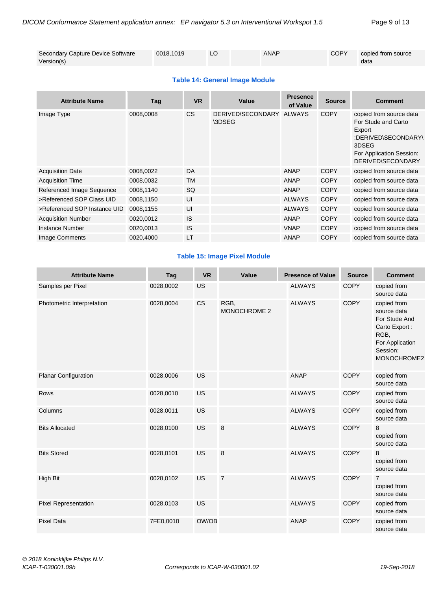| Secondary Capture Device Software | 0018.1019 | ANAP | <b>COPY</b> | copied from source |
|-----------------------------------|-----------|------|-------------|--------------------|
| Version(s)                        |           |      |             | data               |

#### **Table 14: General Image Module**

| <b>Attribute Name</b>        | Tag       | <b>VR</b> | Value                       | <b>Presence</b><br>of Value | <b>Source</b> | <b>Comment</b>                                                                                                                                   |
|------------------------------|-----------|-----------|-----------------------------|-----------------------------|---------------|--------------------------------------------------------------------------------------------------------------------------------------------------|
| Image Type                   | 0008,0008 | <b>CS</b> | DERIVED\SECONDARY<br>\3DSEG | ALWAYS                      | <b>COPY</b>   | copied from source data<br>For Stude and Carto<br>Export<br>:DERIVED\SECONDARY\<br>3DSEG<br>For Application Session:<br><b>DERIVED\SECONDARY</b> |
| <b>Acquisition Date</b>      | 0008,0022 | DA        |                             | <b>ANAP</b>                 | <b>COPY</b>   | copied from source data                                                                                                                          |
| <b>Acquisition Time</b>      | 0008,0032 | TM        |                             | <b>ANAP</b>                 | <b>COPY</b>   | copied from source data                                                                                                                          |
| Referenced Image Sequence    | 0008,1140 | SQ        |                             | <b>ANAP</b>                 | <b>COPY</b>   | copied from source data                                                                                                                          |
| >Referenced SOP Class UID    | 0008,1150 | UI        |                             | <b>ALWAYS</b>               | <b>COPY</b>   | copied from source data                                                                                                                          |
| >Referenced SOP Instance UID | 0008,1155 | UI        |                             | <b>ALWAYS</b>               | <b>COPY</b>   | copied from source data                                                                                                                          |
| <b>Acquisition Number</b>    | 0020,0012 | IS        |                             | <b>ANAP</b>                 | <b>COPY</b>   | copied from source data                                                                                                                          |
| Instance Number              | 0020,0013 | IS        |                             | <b>VNAP</b>                 | <b>COPY</b>   | copied from source data                                                                                                                          |
| Image Comments               | 0020,4000 | LT        |                             | <b>ANAP</b>                 | <b>COPY</b>   | copied from source data                                                                                                                          |

#### **Table 15: Image Pixel Module**

| <b>Attribute Name</b>       | Tag       | <b>VR</b> | Value                | <b>Presence of Value</b> | <b>Source</b> | <b>Comment</b>                                                                                                     |
|-----------------------------|-----------|-----------|----------------------|--------------------------|---------------|--------------------------------------------------------------------------------------------------------------------|
| Samples per Pixel           | 0028,0002 | <b>US</b> |                      | <b>ALWAYS</b>            | <b>COPY</b>   | copied from<br>source data                                                                                         |
| Photometric Interpretation  | 0028,0004 | CS        | RGB,<br>MONOCHROME 2 | <b>ALWAYS</b>            | <b>COPY</b>   | copied from<br>source data<br>For Stude And<br>Carto Export:<br>RGB,<br>For Application<br>Session:<br>MONOCHROME2 |
| <b>Planar Configuration</b> | 0028,0006 | <b>US</b> |                      | <b>ANAP</b>              | <b>COPY</b>   | copied from<br>source data                                                                                         |
| Rows                        | 0028,0010 | <b>US</b> |                      | <b>ALWAYS</b>            | <b>COPY</b>   | copied from<br>source data                                                                                         |
| Columns                     | 0028,0011 | <b>US</b> |                      | <b>ALWAYS</b>            | <b>COPY</b>   | copied from<br>source data                                                                                         |
| <b>Bits Allocated</b>       | 0028,0100 | <b>US</b> | 8                    | <b>ALWAYS</b>            | <b>COPY</b>   | 8<br>copied from<br>source data                                                                                    |
| <b>Bits Stored</b>          | 0028,0101 | US        | 8                    | <b>ALWAYS</b>            | <b>COPY</b>   | 8<br>copied from<br>source data                                                                                    |
| High Bit                    | 0028,0102 | <b>US</b> | $\overline{7}$       | <b>ALWAYS</b>            | <b>COPY</b>   | $\overline{7}$<br>copied from<br>source data                                                                       |
| <b>Pixel Representation</b> | 0028,0103 | US        |                      | <b>ALWAYS</b>            | <b>COPY</b>   | copied from<br>source data                                                                                         |
| <b>Pixel Data</b>           | 7FE0,0010 | OW/OB     |                      | <b>ANAP</b>              | <b>COPY</b>   | copied from<br>source data                                                                                         |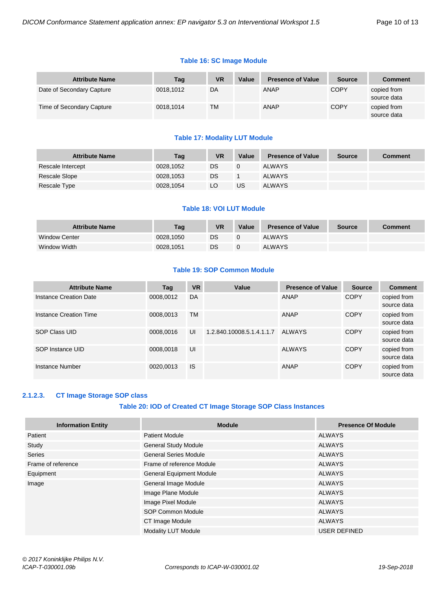#### **Table 16: SC Image Module**

| <b>Attribute Name</b>     | Tag       | <b>VR</b> | Value | <b>Presence of Value</b> | <b>Source</b> | Comment                    |
|---------------------------|-----------|-----------|-------|--------------------------|---------------|----------------------------|
| Date of Secondary Capture | 0018.1012 | DA        |       | <b>ANAP</b>              | <b>COPY</b>   | copied from<br>source data |
| Time of Secondary Capture | 0018,1014 | ТM        |       | ANAP                     | <b>COPY</b>   | copied from<br>source data |

#### **Table 17: Modality LUT Module**

| <b>Attribute Name</b> | Tag       | <b>VR</b> | Value | <b>Presence of Value</b> | <b>Source</b> | Comment |
|-----------------------|-----------|-----------|-------|--------------------------|---------------|---------|
| Rescale Intercept     | 0028,1052 | DS        |       | <b>ALWAYS</b>            |               |         |
| Rescale Slope         | 0028,1053 | DS        |       | <b>ALWAYS</b>            |               |         |
| Rescale Type          | 0028,1054 | LO        | US    | <b>ALWAYS</b>            |               |         |

#### **Table 18: VOI LUT Module**

| <b>Attribute Name</b> | Tag       | VR | Value | <b>Presence of Value</b> | Source | Comment |
|-----------------------|-----------|----|-------|--------------------------|--------|---------|
| <b>Window Center</b>  | 0028.1050 | DS |       | <b>ALWAYS</b>            |        |         |
| Window Width          | 0028.1051 | DS |       | <b>ALWAYS</b>            |        |         |

#### **Table 19: SOP Common Module**

| <b>Attribute Name</b>  | Tag       | <b>VR</b> | Value                     | <b>Presence of Value</b> | <b>Source</b> | <b>Comment</b>             |
|------------------------|-----------|-----------|---------------------------|--------------------------|---------------|----------------------------|
| Instance Creation Date | 0008,0012 | DA        |                           | ANAP                     | <b>COPY</b>   | copied from<br>source data |
| Instance Creation Time | 0008,0013 | <b>TM</b> |                           | ANAP                     | <b>COPY</b>   | copied from<br>source data |
| SOP Class UID          | 0008.0016 | UI        | 1.2.840.10008.5.1.4.1.1.7 | ALWAYS                   | <b>COPY</b>   | copied from<br>source data |
| SOP Instance UID       | 0008,0018 | UI        |                           | <b>ALWAYS</b>            | <b>COPY</b>   | copied from<br>source data |
| Instance Number        | 0020.0013 | IS        |                           | ANAP                     | <b>COPY</b>   | copied from<br>source data |

#### <span id="page-9-0"></span>**2.1.2.3. CT Image Storage SOP class**

#### **Table 20: IOD of Created CT Image Storage SOP Class Instances**

| <b>Information Entity</b> | <b>Module</b>                   | <b>Presence Of Module</b> |
|---------------------------|---------------------------------|---------------------------|
| Patient                   | <b>Patient Module</b>           | ALWAYS                    |
| Study                     | <b>General Study Module</b>     | ALWAYS                    |
| <b>Series</b>             | <b>General Series Module</b>    | ALWAYS                    |
| Frame of reference        | Frame of reference Module       | ALWAYS                    |
| Equipment                 | <b>General Equipment Module</b> | ALWAYS                    |
| Image                     | General Image Module            | <b>ALWAYS</b>             |
|                           | Image Plane Module              | <b>ALWAYS</b>             |
|                           | Image Pixel Module              | <b>ALWAYS</b>             |
|                           | <b>SOP Common Module</b>        | <b>ALWAYS</b>             |
|                           | CT Image Module                 | <b>ALWAYS</b>             |
|                           | Modality LUT Module             | USER DEFINED              |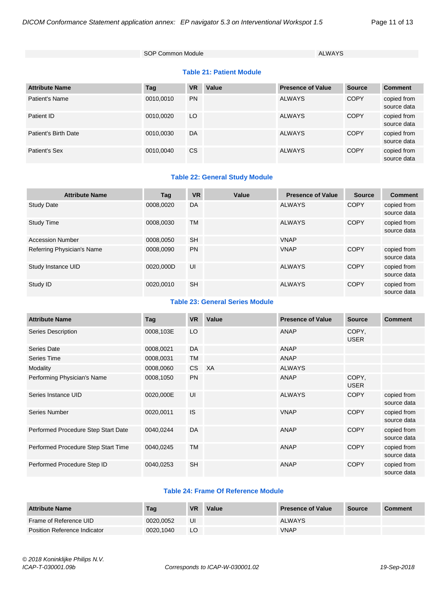SOP Common Module ALWAYS

#### **Table 21: Patient Module**

| <b>Attribute Name</b> | Tag       | <b>VR</b> | Value | <b>Presence of Value</b> | <b>Source</b> | <b>Comment</b>             |
|-----------------------|-----------|-----------|-------|--------------------------|---------------|----------------------------|
| Patient's Name        | 0010,0010 | <b>PN</b> |       | <b>ALWAYS</b>            | <b>COPY</b>   | copied from<br>source data |
| Patient ID            | 0010,0020 | LO        |       | <b>ALWAYS</b>            | <b>COPY</b>   | copied from<br>source data |
| Patient's Birth Date  | 0010.0030 | DA        |       | <b>ALWAYS</b>            | <b>COPY</b>   | copied from<br>source data |
| Patient's Sex         | 0010.0040 | CS.       |       | <b>ALWAYS</b>            | <b>COPY</b>   | copied from<br>source data |

#### **Table 22: General Study Module**

| <b>Attribute Name</b>      | Tag       | <b>VR</b> | Value | <b>Presence of Value</b> | <b>Source</b> | <b>Comment</b>             |
|----------------------------|-----------|-----------|-------|--------------------------|---------------|----------------------------|
| <b>Study Date</b>          | 0008.0020 | DA        |       | <b>ALWAYS</b>            | <b>COPY</b>   | copied from<br>source data |
| <b>Study Time</b>          | 0008.0030 | <b>TM</b> |       | <b>ALWAYS</b>            | COPY          | copied from<br>source data |
| <b>Accession Number</b>    | 0008,0050 | <b>SH</b> |       | <b>VNAP</b>              |               |                            |
| Referring Physician's Name | 0008.0090 | PN        |       | <b>VNAP</b>              | <b>COPY</b>   | copied from<br>source data |
| Study Instance UID         | 0020.000D | UI        |       | <b>ALWAYS</b>            | <b>COPY</b>   | copied from<br>source data |
| Study ID                   | 0020.0010 | <b>SH</b> |       | <b>ALWAYS</b>            | <b>COPY</b>   | copied from<br>source data |

#### **Table 23: General Series Module**

| <b>Attribute Name</b>               | Tag       | <b>VR</b> | Value     | <b>Presence of Value</b> | <b>Source</b>        | <b>Comment</b>             |
|-------------------------------------|-----------|-----------|-----------|--------------------------|----------------------|----------------------------|
| Series Description                  | 0008,103E | LO        |           | <b>ANAP</b>              | COPY.<br><b>USER</b> |                            |
| Series Date                         | 0008,0021 | DA        |           | <b>ANAP</b>              |                      |                            |
| <b>Series Time</b>                  | 0008,0031 | <b>TM</b> |           | <b>ANAP</b>              |                      |                            |
| Modality                            | 0008,0060 | CS        | <b>XA</b> | <b>ALWAYS</b>            |                      |                            |
| Performing Physician's Name         | 0008,1050 | <b>PN</b> |           | <b>ANAP</b>              | COPY,<br><b>USER</b> |                            |
| Series Instance UID                 | 0020,000E | UI        |           | <b>ALWAYS</b>            | <b>COPY</b>          | copied from<br>source data |
| <b>Series Number</b>                | 0020,0011 | <b>IS</b> |           | <b>VNAP</b>              | <b>COPY</b>          | copied from<br>source data |
| Performed Procedure Step Start Date | 0040,0244 | DA        |           | <b>ANAP</b>              | <b>COPY</b>          | copied from<br>source data |
| Performed Procedure Step Start Time | 0040,0245 | <b>TM</b> |           | <b>ANAP</b>              | <b>COPY</b>          | copied from<br>source data |
| Performed Procedure Step ID         | 0040,0253 | <b>SH</b> |           | <b>ANAP</b>              | <b>COPY</b>          | copied from<br>source data |

#### **Table 24: Frame Of Reference Module**

| <b>Attribute Name</b>        | Tag       | <b>VR</b> | Value | <b>Presence of Value</b> | Source | <b>Comment</b> |
|------------------------------|-----------|-----------|-------|--------------------------|--------|----------------|
| Frame of Reference UID       | 0020.0052 | UI        |       | <b>ALWAYS</b>            |        |                |
| Position Reference Indicator | 0020.1040 | LO        |       | <b>VNAP</b>              |        |                |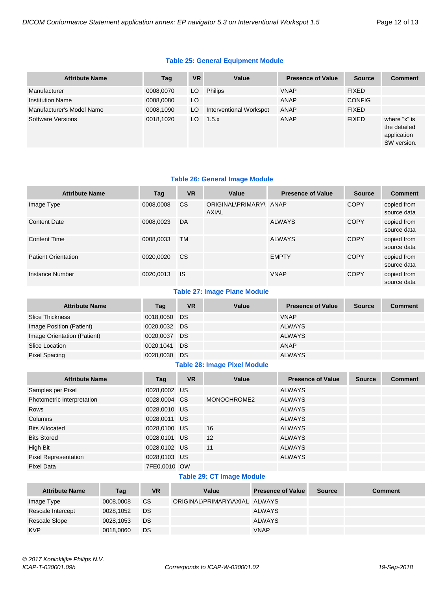#### **Table 25: General Equipment Module**

| <b>Attribute Name</b>     | Tag       | <b>VR</b> | Value                   | <b>Presence of Value</b> | <b>Source</b> | <b>Comment</b>                                             |
|---------------------------|-----------|-----------|-------------------------|--------------------------|---------------|------------------------------------------------------------|
| Manufacturer              | 0008,0070 | LO        | Philips                 | <b>VNAP</b>              | <b>FIXED</b>  |                                                            |
| <b>Institution Name</b>   | 0008,0080 | LO        |                         | ANAP                     | <b>CONFIG</b> |                                                            |
| Manufacturer's Model Name | 0008,1090 | LO        | Interventional Workspot | ANAP                     | <b>FIXED</b>  |                                                            |
| Software Versions         | 0018,1020 | LO        | 1.5.x                   | ANAP                     | <b>FIXED</b>  | where "x" is<br>the detailed<br>application<br>SW version. |

#### **Table 26: General Image Module**

| <b>Attribute Name</b>      | Tag       | <b>VR</b>     | Value                           | <b>Presence of Value</b> | <b>Source</b> | <b>Comment</b>             |
|----------------------------|-----------|---------------|---------------------------------|--------------------------|---------------|----------------------------|
| Image Type                 | 0008,0008 | <b>CS</b>     | ORIGINAL\PRIMARY\ ANAP<br>AXIAL |                          | <b>COPY</b>   | copied from<br>source data |
| <b>Content Date</b>        | 0008,0023 | DA            |                                 | <b>ALWAYS</b>            | <b>COPY</b>   | copied from<br>source data |
| <b>Content Time</b>        | 0008.0033 | <b>TM</b>     |                                 | <b>ALWAYS</b>            | <b>COPY</b>   | copied from<br>source data |
| <b>Patient Orientation</b> | 0020.0020 | <sub>CS</sub> |                                 | <b>EMPTY</b>             | COPY          | copied from<br>source data |
| Instance Number            | 0020,0013 | <b>IS</b>     |                                 | <b>VNAP</b>              | COPY          | copied from<br>source data |

#### **Table 27: Image Plane Module**

| <b>Attribute Name</b>       | Tag          | <b>VR</b> | Value | <b>Presence of Value</b> | <b>Source</b> | <b>Comment</b> |
|-----------------------------|--------------|-----------|-------|--------------------------|---------------|----------------|
| Slice Thickness             | 0018,0050 DS |           |       | <b>VNAP</b>              |               |                |
| Image Position (Patient)    | 0020,0032 DS |           |       | <b>ALWAYS</b>            |               |                |
| Image Orientation (Patient) | 0020.0037 DS |           |       | <b>ALWAYS</b>            |               |                |
| Slice Location              | 0020.1041 DS |           |       | <b>ANAP</b>              |               |                |
| Pixel Spacing               | 0028,0030 DS |           |       | <b>ALWAYS</b>            |               |                |

#### **Table 28: Image Pixel Module**

| <b>Attribute Name</b>       | Tag          | <b>VR</b> | Value       | <b>Presence of Value</b> | <b>Source</b> | <b>Comment</b> |
|-----------------------------|--------------|-----------|-------------|--------------------------|---------------|----------------|
| Samples per Pixel           | 0028,0002 US |           |             | <b>ALWAYS</b>            |               |                |
| Photometric Interpretation  | 0028,0004 CS |           | MONOCHROME2 | <b>ALWAYS</b>            |               |                |
| Rows                        | 0028,0010 US |           |             | <b>ALWAYS</b>            |               |                |
| Columns                     | 0028,0011 US |           |             | <b>ALWAYS</b>            |               |                |
| <b>Bits Allocated</b>       | 0028,0100    | US.       | 16          | <b>ALWAYS</b>            |               |                |
| <b>Bits Stored</b>          | 0028,0101 US |           | 12          | <b>ALWAYS</b>            |               |                |
| High Bit                    | 0028,0102 US |           | 11          | <b>ALWAYS</b>            |               |                |
| <b>Pixel Representation</b> | 0028,0103 US |           |             | <b>ALWAYS</b>            |               |                |
| Pixel Data                  | 7FE0,0010 OW |           |             |                          |               |                |

#### **Table 29: CT Image Module**

| <b>Attribute Name</b> | Tag       | <b>VR</b> | Value                         | <b>Presence of Value</b> | <b>Source</b> | <b>Comment</b> |
|-----------------------|-----------|-----------|-------------------------------|--------------------------|---------------|----------------|
| Image Type            | 0008.0008 | <b>CS</b> | ORIGINAL\PRIMARY\AXIAL ALWAYS |                          |               |                |
| Rescale Intercept     | 0028,1052 | DS        |                               | <b>ALWAYS</b>            |               |                |
| Rescale Slope         | 0028,1053 | DS        |                               | <b>ALWAYS</b>            |               |                |
| <b>KVP</b>            | 0018,0060 | DS        |                               | <b>VNAP</b>              |               |                |